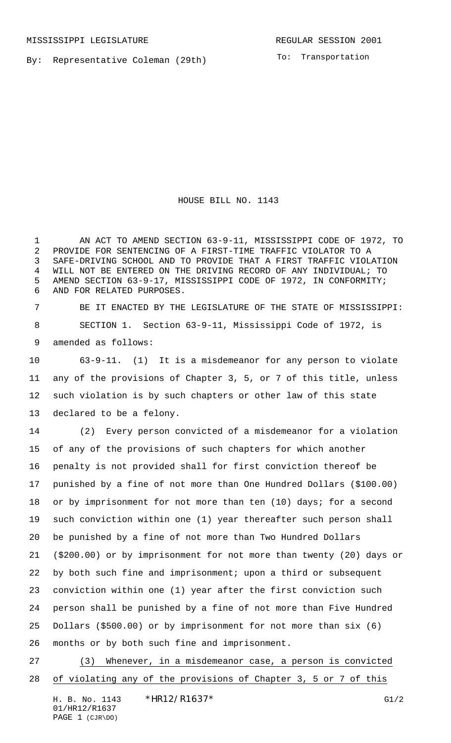By: Representative Coleman (29th)

To: Transportation

HOUSE BILL NO. 1143

 AN ACT TO AMEND SECTION 63-9-11, MISSISSIPPI CODE OF 1972, TO PROVIDE FOR SENTENCING OF A FIRST-TIME TRAFFIC VIOLATOR TO A SAFE-DRIVING SCHOOL AND TO PROVIDE THAT A FIRST TRAFFIC VIOLATION WILL NOT BE ENTERED ON THE DRIVING RECORD OF ANY INDIVIDUAL; TO AMEND SECTION 63-9-17, MISSISSIPPI CODE OF 1972, IN CONFORMITY; AND FOR RELATED PURPOSES.

 BE IT ENACTED BY THE LEGISLATURE OF THE STATE OF MISSISSIPPI: SECTION 1. Section 63-9-11, Mississippi Code of 1972, is amended as follows:

 63-9-11. (1) It is a misdemeanor for any person to violate any of the provisions of Chapter 3, 5, or 7 of this title, unless such violation is by such chapters or other law of this state declared to be a felony.

 (2) Every person convicted of a misdemeanor for a violation of any of the provisions of such chapters for which another penalty is not provided shall for first conviction thereof be punished by a fine of not more than One Hundred Dollars (\$100.00) or by imprisonment for not more than ten (10) days; for a second such conviction within one (1) year thereafter such person shall be punished by a fine of not more than Two Hundred Dollars (\$200.00) or by imprisonment for not more than twenty (20) days or by both such fine and imprisonment; upon a third or subsequent conviction within one (1) year after the first conviction such person shall be punished by a fine of not more than Five Hundred Dollars (\$500.00) or by imprisonment for not more than six (6) months or by both such fine and imprisonment.

 (3) Whenever, in a misdemeanor case, a person is convicted of violating any of the provisions of Chapter 3, 5 or 7 of this

H. B. No. 1143 \*HR12/R1637\* G1/2 01/HR12/R1637 PAGE 1 (CJR\DO)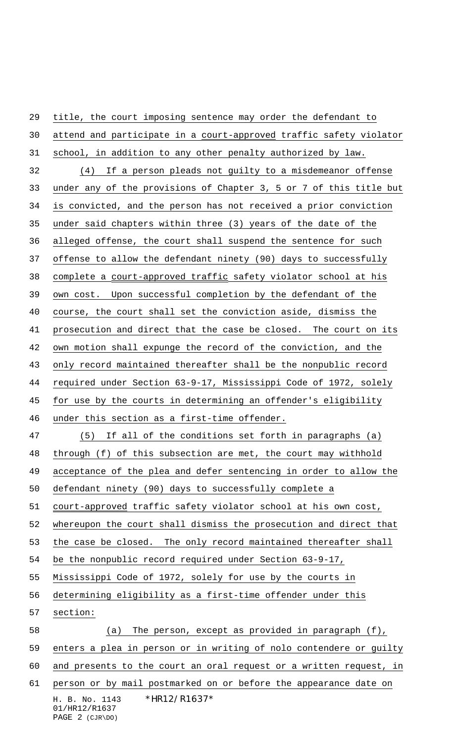H. B. No. 1143 \*HR12/R1637\* 01/HR12/R1637 attend and participate in a court-approved traffic safety violator school, in addition to any other penalty authorized by law. (4) If a person pleads not guilty to a misdemeanor offense under any of the provisions of Chapter 3, 5 or 7 of this title but is convicted, and the person has not received a prior conviction under said chapters within three (3) years of the date of the alleged offense, the court shall suspend the sentence for such offense to allow the defendant ninety (90) days to successfully complete a court-approved traffic safety violator school at his own cost. Upon successful completion by the defendant of the course, the court shall set the conviction aside, dismiss the prosecution and direct that the case be closed. The court on its own motion shall expunge the record of the conviction, and the 43 only record maintained thereafter shall be the nonpublic record required under Section 63-9-17, Mississippi Code of 1972, solely for use by the courts in determining an offender's eligibility under this section as a first-time offender. (5) If all of the conditions set forth in paragraphs (a) through (f) of this subsection are met, the court may withhold acceptance of the plea and defer sentencing in order to allow the defendant ninety (90) days to successfully complete a 51 court-approved traffic safety violator school at his own cost, whereupon the court shall dismiss the prosecution and direct that the case be closed. The only record maintained thereafter shall be the nonpublic record required under Section 63-9-17, Mississippi Code of 1972, solely for use by the courts in determining eligibility as a first-time offender under this section: (a) The person, except as provided in paragraph (f), enters a plea in person or in writing of nolo contendere or guilty 60 and presents to the court an oral request or a written request, in person or by mail postmarked on or before the appearance date on

title, the court imposing sentence may order the defendant to

PAGE 2 (CJR\DO)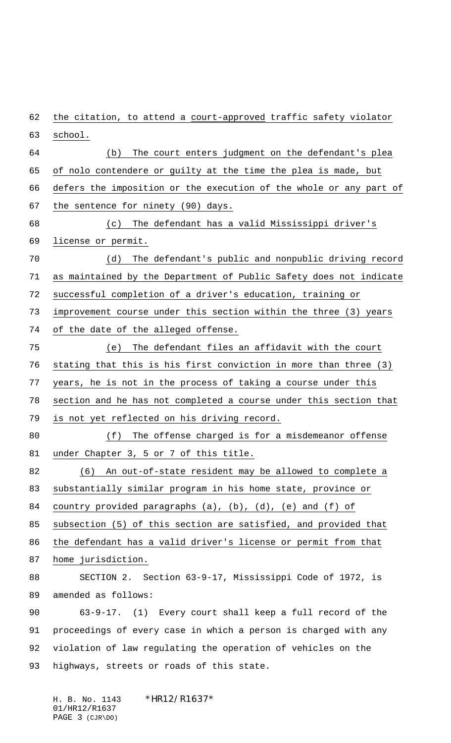62 the citation, to attend a court-approved traffic safety violator school. (b) The court enters judgment on the defendant's plea of nolo contendere or guilty at the time the plea is made, but defers the imposition or the execution of the whole or any part of the sentence for ninety (90) days. (c) The defendant has a valid Mississippi driver's license or permit. (d) The defendant's public and nonpublic driving record as maintained by the Department of Public Safety does not indicate successful completion of a driver's education, training or improvement course under this section within the three (3) years of the date of the alleged offense. (e) The defendant files an affidavit with the court stating that this is his first conviction in more than three (3) years, he is not in the process of taking a course under this section and he has not completed a course under this section that is not yet reflected on his driving record. (f) The offense charged is for a misdemeanor offense 81 under Chapter 3, 5 or 7 of this title. (6) An out-of-state resident may be allowed to complete a substantially similar program in his home state, province or country provided paragraphs (a), (b), (d), (e) and (f) of subsection (5) of this section are satisfied, and provided that 86 the defendant has a valid driver's license or permit from that home jurisdiction. SECTION 2. Section 63-9-17, Mississippi Code of 1972, is amended as follows: 63-9-17. (1) Every court shall keep a full record of the proceedings of every case in which a person is charged with any violation of law regulating the operation of vehicles on the highways, streets or roads of this state.

H. B. No. 1143 \*HR12/R1637\* 01/HR12/R1637 PAGE 3 (CJR\DO)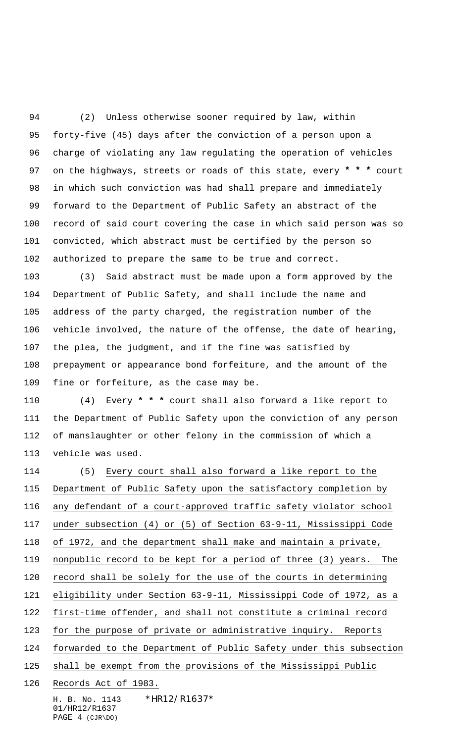(2) Unless otherwise sooner required by law, within forty-five (45) days after the conviction of a person upon a charge of violating any law regulating the operation of vehicles on the highways, streets or roads of this state, every **\* \* \*** court in which such conviction was had shall prepare and immediately forward to the Department of Public Safety an abstract of the record of said court covering the case in which said person was so convicted, which abstract must be certified by the person so authorized to prepare the same to be true and correct.

 (3) Said abstract must be made upon a form approved by the Department of Public Safety, and shall include the name and address of the party charged, the registration number of the vehicle involved, the nature of the offense, the date of hearing, the plea, the judgment, and if the fine was satisfied by prepayment or appearance bond forfeiture, and the amount of the fine or forfeiture, as the case may be.

 (4) Every **\* \* \*** court shall also forward a like report to the Department of Public Safety upon the conviction of any person of manslaughter or other felony in the commission of which a vehicle was used.

 (5) Every court shall also forward a like report to the Department of Public Safety upon the satisfactory completion by 116 any defendant of a court-approved traffic safety violator school under subsection (4) or (5) of Section 63-9-11, Mississippi Code of 1972, and the department shall make and maintain a private, nonpublic record to be kept for a period of three (3) years. The record shall be solely for the use of the courts in determining eligibility under Section 63-9-11, Mississippi Code of 1972, as a first-time offender, and shall not constitute a criminal record for the purpose of private or administrative inquiry. Reports forwarded to the Department of Public Safety under this subsection shall be exempt from the provisions of the Mississippi Public Records Act of 1983.